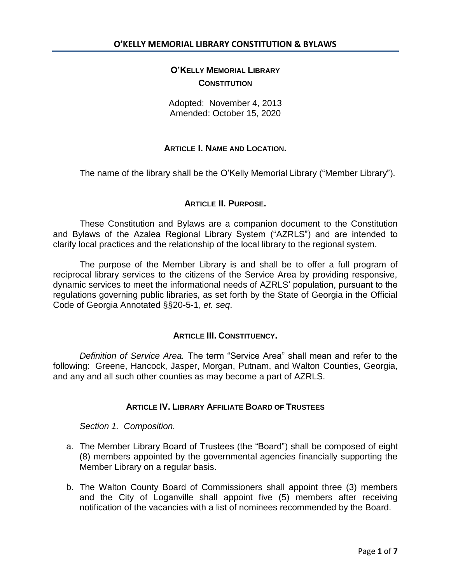# **O'KELLY MEMORIAL LIBRARY CONSTITUTION**

Adopted: November 4, 2013 Amended: October 15, 2020

## **ARTICLE I. NAME AND LOCATION.**

The name of the library shall be the O'Kelly Memorial Library ("Member Library").

## **ARTICLE II. PURPOSE.**

These Constitution and Bylaws are a companion document to the Constitution and Bylaws of the Azalea Regional Library System ("AZRLS") and are intended to clarify local practices and the relationship of the local library to the regional system.

The purpose of the Member Library is and shall be to offer a full program of reciprocal library services to the citizens of the Service Area by providing responsive, dynamic services to meet the informational needs of AZRLS' population, pursuant to the regulations governing public libraries, as set forth by the State of Georgia in the Official Code of Georgia Annotated §§20-5-1, *et. seq*.

### **ARTICLE III. CONSTITUENCY.**

*Definition of Service Area.* The term "Service Area" shall mean and refer to the following: Greene, Hancock, Jasper, Morgan, Putnam, and Walton Counties, Georgia, and any and all such other counties as may become a part of AZRLS.

## **ARTICLE IV. LIBRARY AFFILIATE BOARD OF TRUSTEES**

*Section 1. Composition.* 

- a. The Member Library Board of Trustees (the "Board") shall be composed of eight (8) members appointed by the governmental agencies financially supporting the Member Library on a regular basis.
- b. The Walton County Board of Commissioners shall appoint three (3) members and the City of Loganville shall appoint five (5) members after receiving notification of the vacancies with a list of nominees recommended by the Board.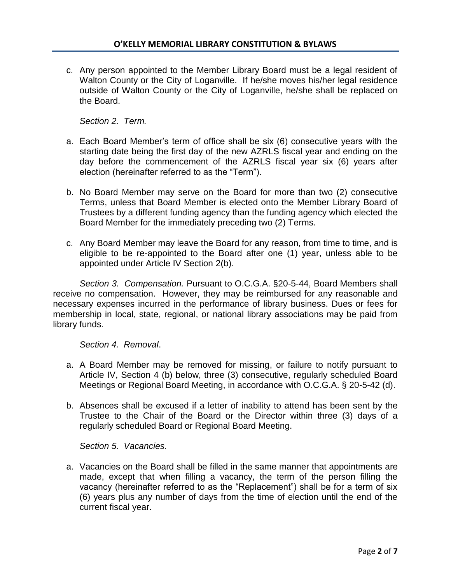c. Any person appointed to the Member Library Board must be a legal resident of Walton County or the City of Loganville. If he/she moves his/her legal residence outside of Walton County or the City of Loganville, he/she shall be replaced on the Board.

*Section 2. Term.*

- a. Each Board Member's term of office shall be six (6) consecutive years with the starting date being the first day of the new AZRLS fiscal year and ending on the day before the commencement of the AZRLS fiscal year six (6) years after election (hereinafter referred to as the "Term").
- b. No Board Member may serve on the Board for more than two (2) consecutive Terms, unless that Board Member is elected onto the Member Library Board of Trustees by a different funding agency than the funding agency which elected the Board Member for the immediately preceding two (2) Terms.
- c. Any Board Member may leave the Board for any reason, from time to time, and is eligible to be re-appointed to the Board after one (1) year, unless able to be appointed under Article IV Section 2(b).

*Section 3. Compensation.* Pursuant to O.C.G.A. §20-5-44, Board Members shall receive no compensation. However, they may be reimbursed for any reasonable and necessary expenses incurred in the performance of library business. Dues or fees for membership in local, state, regional, or national library associations may be paid from library funds.

*Section 4. Removal*.

- a. A Board Member may be removed for missing, or failure to notify pursuant to Article IV, Section 4 (b) below, three (3) consecutive, regularly scheduled Board Meetings or Regional Board Meeting, in accordance with O.C.G.A. § 20-5-42 (d).
- b. Absences shall be excused if a letter of inability to attend has been sent by the Trustee to the Chair of the Board or the Director within three (3) days of a regularly scheduled Board or Regional Board Meeting.

*Section 5. Vacancies.*

a. Vacancies on the Board shall be filled in the same manner that appointments are made, except that when filling a vacancy, the term of the person filling the vacancy (hereinafter referred to as the "Replacement") shall be for a term of six (6) years plus any number of days from the time of election until the end of the current fiscal year.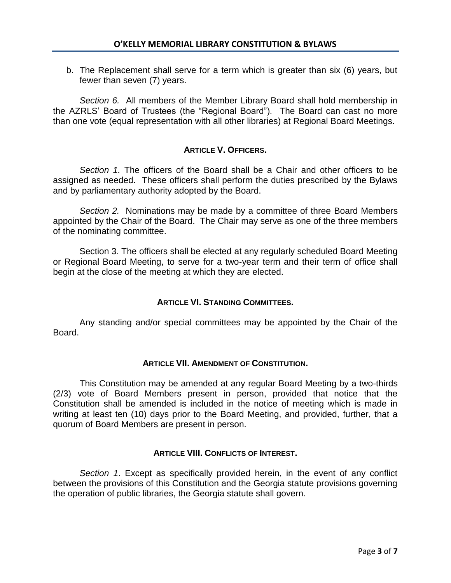b. The Replacement shall serve for a term which is greater than six (6) years, but fewer than seven (7) years.

*Section 6.* All members of the Member Library Board shall hold membership in the AZRLS' Board of Trustees (the "Regional Board"). The Board can cast no more than one vote (equal representation with all other libraries) at Regional Board Meetings.

# **ARTICLE V. OFFICERS.**

*Section 1.* The officers of the Board shall be a Chair and other officers to be assigned as needed. These officers shall perform the duties prescribed by the Bylaws and by parliamentary authority adopted by the Board.

*Section 2.* Nominations may be made by a committee of three Board Members appointed by the Chair of the Board. The Chair may serve as one of the three members of the nominating committee.

Section 3. The officers shall be elected at any regularly scheduled Board Meeting or Regional Board Meeting, to serve for a two-year term and their term of office shall begin at the close of the meeting at which they are elected.

# **ARTICLE VI. STANDING COMMITTEES.**

Any standing and/or special committees may be appointed by the Chair of the Board.

# **ARTICLE VII. AMENDMENT OF CONSTITUTION.**

This Constitution may be amended at any regular Board Meeting by a two-thirds (2/3) vote of Board Members present in person, provided that notice that the Constitution shall be amended is included in the notice of meeting which is made in writing at least ten (10) days prior to the Board Meeting, and provided, further, that a quorum of Board Members are present in person.

# **ARTICLE VIII. CONFLICTS OF INTEREST.**

*Section 1*. Except as specifically provided herein, in the event of any conflict between the provisions of this Constitution and the Georgia statute provisions governing the operation of public libraries, the Georgia statute shall govern.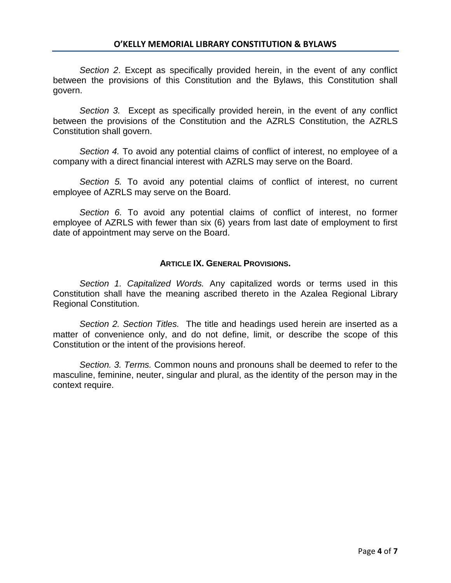*Section 2*. Except as specifically provided herein, in the event of any conflict between the provisions of this Constitution and the Bylaws, this Constitution shall govern.

*Section 3.* Except as specifically provided herein, in the event of any conflict between the provisions of the Constitution and the AZRLS Constitution, the AZRLS Constitution shall govern.

*Section 4.* To avoid any potential claims of conflict of interest, no employee of a company with a direct financial interest with AZRLS may serve on the Board.

*Section 5.* To avoid any potential claims of conflict of interest, no current employee of AZRLS may serve on the Board.

*Section 6.* To avoid any potential claims of conflict of interest, no former employee of AZRLS with fewer than six (6) years from last date of employment to first date of appointment may serve on the Board.

### **ARTICLE IX. GENERAL PROVISIONS.**

*Section 1. Capitalized Words.* Any capitalized words or terms used in this Constitution shall have the meaning ascribed thereto in the Azalea Regional Library Regional Constitution.

*Section 2. Section Titles.* The title and headings used herein are inserted as a matter of convenience only, and do not define, limit, or describe the scope of this Constitution or the intent of the provisions hereof.

*Section. 3. Terms.* Common nouns and pronouns shall be deemed to refer to the masculine, feminine, neuter, singular and plural, as the identity of the person may in the context require.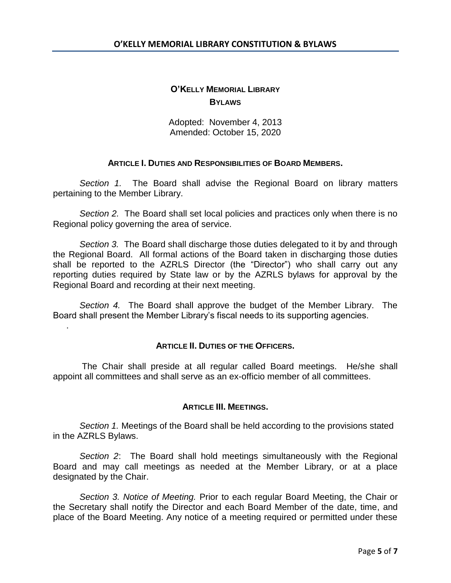# **O'KELLY MEMORIAL LIBRARY BYLAWS**

Adopted: November 4, 2013 Amended: October 15, 2020

## **ARTICLE I. DUTIES AND RESPONSIBILITIES OF BOARD MEMBERS.**

*Section 1.* The Board shall advise the Regional Board on library matters pertaining to the Member Library.

*Section 2.* The Board shall set local policies and practices only when there is no Regional policy governing the area of service.

*Section 3.* The Board shall discharge those duties delegated to it by and through the Regional Board. All formal actions of the Board taken in discharging those duties shall be reported to the AZRLS Director (the "Director") who shall carry out any reporting duties required by State law or by the AZRLS bylaws for approval by the Regional Board and recording at their next meeting.

*Section 4.* The Board shall approve the budget of the Member Library. The Board shall present the Member Library's fiscal needs to its supporting agencies.

.

### **ARTICLE II. DUTIES OF THE OFFICERS.**

The Chair shall preside at all regular called Board meetings. He/she shall appoint all committees and shall serve as an ex-officio member of all committees.

### **ARTICLE III. MEETINGS.**

*Section 1.* Meetings of the Board shall be held according to the provisions stated in the AZRLS Bylaws.

*Section 2*: The Board shall hold meetings simultaneously with the Regional Board and may call meetings as needed at the Member Library, or at a place designated by the Chair.

*Section 3. Notice of Meeting.* Prior to each regular Board Meeting, the Chair or the Secretary shall notify the Director and each Board Member of the date, time, and place of the Board Meeting. Any notice of a meeting required or permitted under these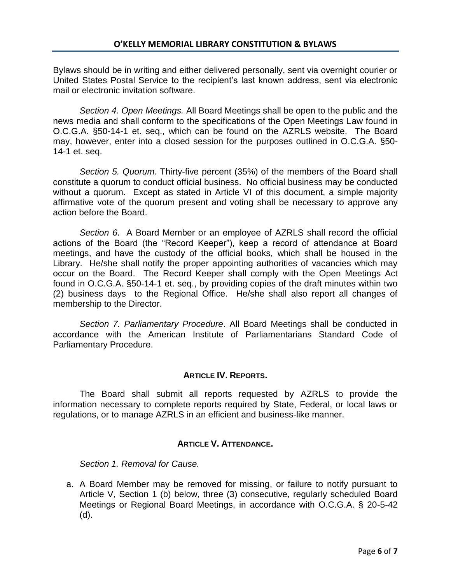Bylaws should be in writing and either delivered personally, sent via overnight courier or United States Postal Service to the recipient's last known address, sent via electronic mail or electronic invitation software.

*Section 4. Open Meetings.* All Board Meetings shall be open to the public and the news media and shall conform to the specifications of the Open Meetings Law found in O.C.G.A. §50-14-1 et. seq., which can be found on the AZRLS website. The Board may, however, enter into a closed session for the purposes outlined in O.C.G.A. §50- 14-1 et. seq.

*Section 5. Quorum.* Thirty-five percent (35%) of the members of the Board shall constitute a quorum to conduct official business. No official business may be conducted without a quorum. Except as stated in Article VI of this document, a simple majority affirmative vote of the quorum present and voting shall be necessary to approve any action before the Board.

*Section 6*. A Board Member or an employee of AZRLS shall record the official actions of the Board (the "Record Keeper"), keep a record of attendance at Board meetings, and have the custody of the official books, which shall be housed in the Library. He/she shall notify the proper appointing authorities of vacancies which may occur on the Board. The Record Keeper shall comply with the Open Meetings Act found in O.C.G.A. §50-14-1 et. seq., by providing copies of the draft minutes within two (2) business days to the Regional Office. He/she shall also report all changes of membership to the Director.

*Section 7. Parliamentary Procedure*. All Board Meetings shall be conducted in accordance with the American Institute of Parliamentarians Standard Code of Parliamentary Procedure.

# **ARTICLE IV. REPORTS.**

The Board shall submit all reports requested by AZRLS to provide the information necessary to complete reports required by State, Federal, or local laws or regulations, or to manage AZRLS in an efficient and business-like manner.

# **ARTICLE V. ATTENDANCE.**

*Section 1. Removal for Cause.*

a. A Board Member may be removed for missing, or failure to notify pursuant to Article V, Section 1 (b) below, three (3) consecutive, regularly scheduled Board Meetings or Regional Board Meetings, in accordance with O.C.G.A. § 20-5-42 (d).